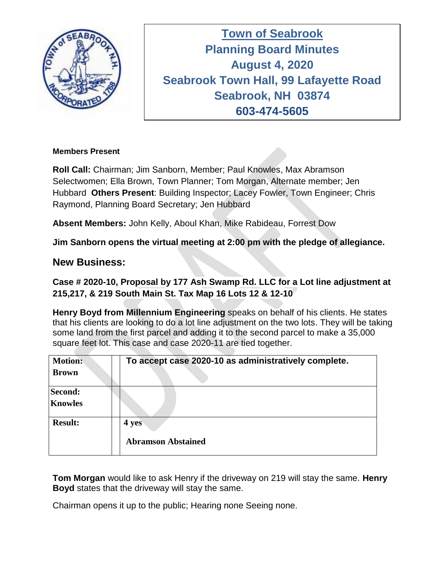

**Town of Seabrook Planning Board Minutes Tuesday April 16, 2019 August 4, 2020 Seabrook Town Hall, 99 Lafayette Road Seabrook, NH 03874 603-474-5605**

#### **Members Present**

**Roll Call:** Chairman; Jim Sanborn, Member; Paul Knowles, Max Abramson Selectwomen; Ella Brown, Town Planner; Tom Morgan, Alternate member; Jen Hubbard **Others Present**: Building Inspector; Lacey Fowler, Town Engineer; Chris Raymond, Planning Board Secretary; Jen Hubbard

**Absent Members:** John Kelly, Aboul Khan, Mike Rabideau, Forrest Dow

**Jim Sanborn opens the virtual meeting at 2:00 pm with the pledge of allegiance.** 

## **New Business:**

## **Case # 2020-10, Proposal by 177 Ash Swamp Rd. LLC for a Lot line adjustment at 215,217, & 219 South Main St. Tax Map 16 Lots 12 & 12-10**

**Henry Boyd from Millennium Engineering** speaks on behalf of his clients. He states that his clients are looking to do a lot line adjustment on the two lots. They will be taking some land from the first parcel and adding it to the second parcel to make a 35,000 square feet lot. This case and case 2020-11 are tied together.

| <b>Motion:</b><br><b>Brown</b> | To accept case 2020-10 as administratively complete. |
|--------------------------------|------------------------------------------------------|
| Second:<br><b>Knowles</b>      |                                                      |
| <b>Result:</b>                 | 4 yes<br><b>Abramson Abstained</b>                   |

**Tom Morgan** would like to ask Henry if the driveway on 219 will stay the same. **Henry Boyd** states that the driveway will stay the same.

Chairman opens it up to the public; Hearing none Seeing none.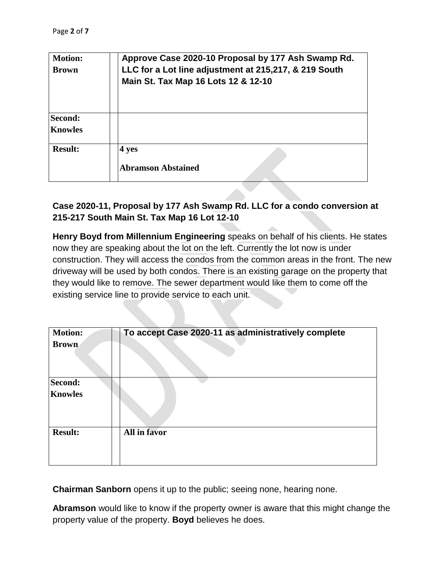| <b>Motion:</b><br><b>Brown</b>   | Approve Case 2020-10 Proposal by 177 Ash Swamp Rd.<br>LLC for a Lot line adjustment at 215,217, & 219 South<br>Main St. Tax Map 16 Lots 12 & 12-10 |
|----------------------------------|----------------------------------------------------------------------------------------------------------------------------------------------------|
| <b>Second:</b><br><b>Knowles</b> |                                                                                                                                                    |
| <b>Result:</b>                   | 4 yes<br><b>Abramson Abstained</b>                                                                                                                 |

### **Case 2020-11, Proposal by 177 Ash Swamp Rd. LLC for a condo conversion at 215-217 South Main St. Tax Map 16 Lot 12-10**

**Henry Boyd from Millennium Engineering** speaks on behalf of his clients. He states now they are speaking about the lot on the left. Currently the lot now is under construction. They will access the condos from the common areas in the front. The new driveway will be used by both condos. There is an existing garage on the property that they would like to remove. The sewer department would like them to come off the existing service line to provide service to each unit.

| <b>Motion:</b> | To accept Case 2020-11 as administratively complete |
|----------------|-----------------------------------------------------|
| <b>Brown</b>   |                                                     |
| Second:        |                                                     |
| <b>Knowles</b> |                                                     |
| <b>Result:</b> | All in favor                                        |
|                |                                                     |

**Chairman Sanborn** opens it up to the public; seeing none, hearing none.

**Abramson** would like to know if the property owner is aware that this might change the property value of the property. **Boyd** believes he does.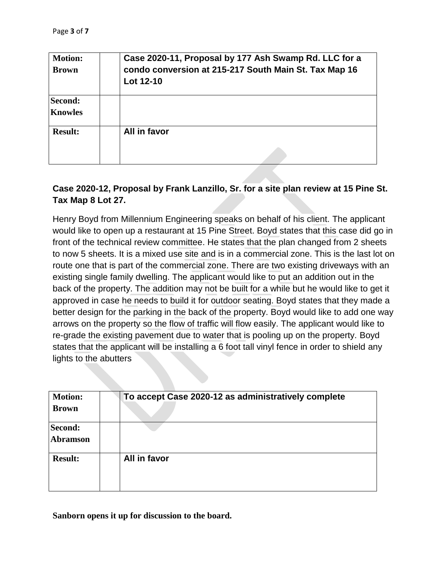| <b>Motion:</b><br><b>Brown</b> | Case 2020-11, Proposal by 177 Ash Swamp Rd. LLC for a<br>condo conversion at 215-217 South Main St. Tax Map 16<br>Lot 12-10 |
|--------------------------------|-----------------------------------------------------------------------------------------------------------------------------|
| Second:<br><b>Knowles</b>      |                                                                                                                             |
| <b>Result:</b>                 | All in favor                                                                                                                |

## **Case 2020-12, Proposal by Frank Lanzillo, Sr. for a site plan review at 15 Pine St. Tax Map 8 Lot 27.**

Henry Boyd from Millennium Engineering speaks on behalf of his client. The applicant would like to open up a restaurant at 15 Pine Street. Boyd states that this case did go in front of the technical review committee. He states that the plan changed from 2 sheets to now 5 sheets. It is a mixed use site and is in a commercial zone. This is the last lot on route one that is part of the commercial zone. There are two existing driveways with an existing single family dwelling. The applicant would like to put an addition out in the back of the property. The addition may not be built for a while but he would like to get it approved in case he needs to build it for outdoor seating. Boyd states that they made a better design for the parking in the back of the property. Boyd would like to add one way arrows on the property so the flow of traffic will flow easily. The applicant would like to re-grade the existing pavement due to water that is pooling up on the property. Boyd states that the applicant will be installing a 6 foot tall vinyl fence in order to shield any lights to the abutters

| <b>Motion:</b><br><b>Brown</b> | To accept Case 2020-12 as administratively complete |
|--------------------------------|-----------------------------------------------------|
| Second:<br><b>Abramson</b>     |                                                     |
| <b>Result:</b>                 | All in favor                                        |

**Sanborn opens it up for discussion to the board.**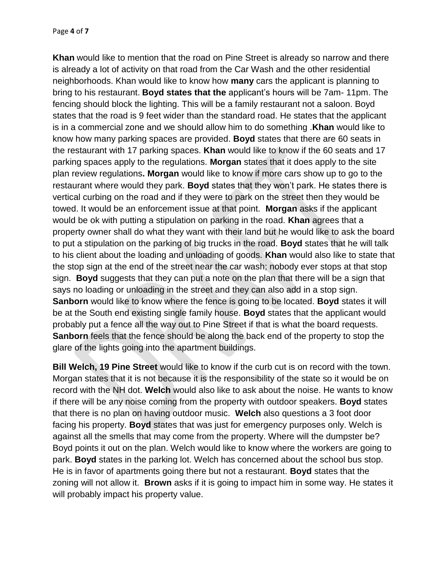**Khan** would like to mention that the road on Pine Street is already so narrow and there is already a lot of activity on that road from the Car Wash and the other residential neighborhoods. Khan would like to know how **many** cars the applicant is planning to bring to his restaurant. **Boyd states that the** applicant's hours will be 7am- 11pm. The fencing should block the lighting. This will be a family restaurant not a saloon. Boyd states that the road is 9 feet wider than the standard road. He states that the applicant is in a commercial zone and we should allow him to do something .**Khan** would like to know how many parking spaces are provided. **Boyd** states that there are 60 seats in the restaurant with 17 parking spaces. **Khan** would like to know if the 60 seats and 17 parking spaces apply to the regulations. **Morgan** states that it does apply to the site plan review regulations**. Morgan** would like to know if more cars show up to go to the restaurant where would they park. **Boyd** states that they won't park. He states there is vertical curbing on the road and if they were to park on the street then they would be towed. It would be an enforcement issue at that point. **Morgan** asks if the applicant would be ok with putting a stipulation on parking in the road. **Khan** agrees that a property owner shall do what they want with their land but he would like to ask the board to put a stipulation on the parking of big trucks in the road. **Boyd** states that he will talk to his client about the loading and unloading of goods. **Khan** would also like to state that the stop sign at the end of the street near the car wash; nobody ever stops at that stop sign. **Boyd** suggests that they can put a note on the plan that there will be a sign that says no loading or unloading in the street and they can also add in a stop sign. **Sanborn** would like to know where the fence is going to be located. **Boyd** states it will be at the South end existing single family house. **Boyd** states that the applicant would probably put a fence all the way out to Pine Street if that is what the board requests. **Sanborn** feels that the fence should be along the back end of the property to stop the glare of the lights going into the apartment buildings.

**Bill Welch, 19 Pine Street** would like to know if the curb cut is on record with the town. Morgan states that it is not because it is the responsibility of the state so it would be on record with the NH dot. **Welch** would also like to ask about the noise. He wants to know if there will be any noise coming from the property with outdoor speakers. **Boyd** states that there is no plan on having outdoor music. **Welch** also questions a 3 foot door facing his property. **Boyd** states that was just for emergency purposes only. Welch is against all the smells that may come from the property. Where will the dumpster be? Boyd points it out on the plan. Welch would like to know where the workers are going to park. **Boyd** states in the parking lot. Welch has concerned about the school bus stop. He is in favor of apartments going there but not a restaurant. **Boyd** states that the zoning will not allow it. **Brown** asks if it is going to impact him in some way. He states it will probably impact his property value.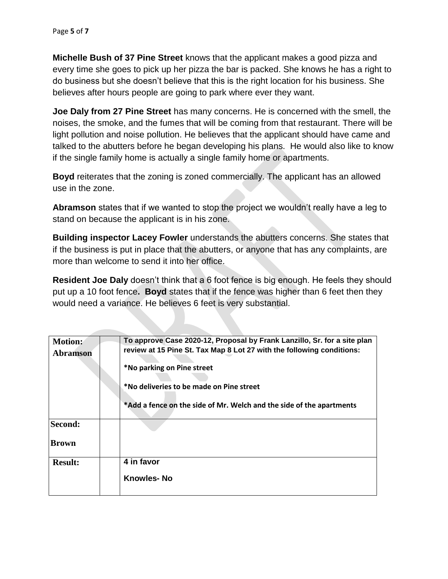**Michelle Bush of 37 Pine Street** knows that the applicant makes a good pizza and every time she goes to pick up her pizza the bar is packed. She knows he has a right to do business but she doesn't believe that this is the right location for his business. She believes after hours people are going to park where ever they want.

**Joe Daly from 27 Pine Street** has many concerns. He is concerned with the smell, the noises, the smoke, and the fumes that will be coming from that restaurant. There will be light pollution and noise pollution. He believes that the applicant should have came and talked to the abutters before he began developing his plans. He would also like to know if the single family home is actually a single family home or apartments.

**Boyd** reiterates that the zoning is zoned commercially. The applicant has an allowed use in the zone.

**Abramson** states that if we wanted to stop the project we wouldn't really have a leg to stand on because the applicant is in his zone.

**Building inspector Lacey Fowler** understands the abutters concerns. She states that if the business is put in place that the abutters, or anyone that has any complaints, are more than welcome to send it into her office.

**Resident Joe Daly** doesn't think that a 6 foot fence is big enough. He feels they should put up a 10 foot fence**. Boyd** states that if the fence was higher than 6 feet then they would need a variance. He believes 6 feet is very substantial.

| <b>Motion:</b>  | To approve Case 2020-12, Proposal by Frank Lanzillo, Sr. for a site plan |
|-----------------|--------------------------------------------------------------------------|
| <b>Abramson</b> | review at 15 Pine St. Tax Map 8 Lot 27 with the following conditions:    |
|                 | *No parking on Pine street                                               |
|                 | *No deliveries to be made on Pine street                                 |
|                 | *Add a fence on the side of Mr. Welch and the side of the apartments     |
| Second:         |                                                                          |
| <b>Brown</b>    |                                                                          |
| <b>Result:</b>  | 4 in favor                                                               |
|                 | <b>Knowles-No</b>                                                        |
|                 |                                                                          |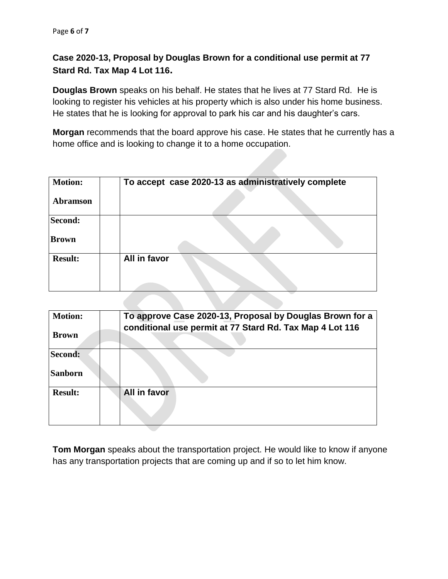## **Case 2020-13, Proposal by Douglas Brown for a conditional use permit at 77 Stard Rd. Tax Map 4 Lot 116.**

**Douglas Brown** speaks on his behalf. He states that he lives at 77 Stard Rd. He is looking to register his vehicles at his property which is also under his home business. He states that he is looking for approval to park his car and his daughter's cars.

**Morgan** recommends that the board approve his case. He states that he currently has a home office and is looking to change it to a home occupation.

| <b>Motion:</b>  | To accept case 2020-13 as administratively complete |
|-----------------|-----------------------------------------------------|
| <b>Abramson</b> |                                                     |
| Second:         |                                                     |
| <b>Brown</b>    |                                                     |
| <b>Result:</b>  | All in favor                                        |

| <b>Motion:</b><br><b>Brown</b> | To approve Case 2020-13, Proposal by Douglas Brown for a<br>conditional use permit at 77 Stard Rd. Tax Map 4 Lot 116 |
|--------------------------------|----------------------------------------------------------------------------------------------------------------------|
| Second:                        |                                                                                                                      |
| <b>Sanborn</b>                 |                                                                                                                      |
| <b>Result:</b>                 | All in favor                                                                                                         |

**Tom Morgan** speaks about the transportation project. He would like to know if anyone has any transportation projects that are coming up and if so to let him know.